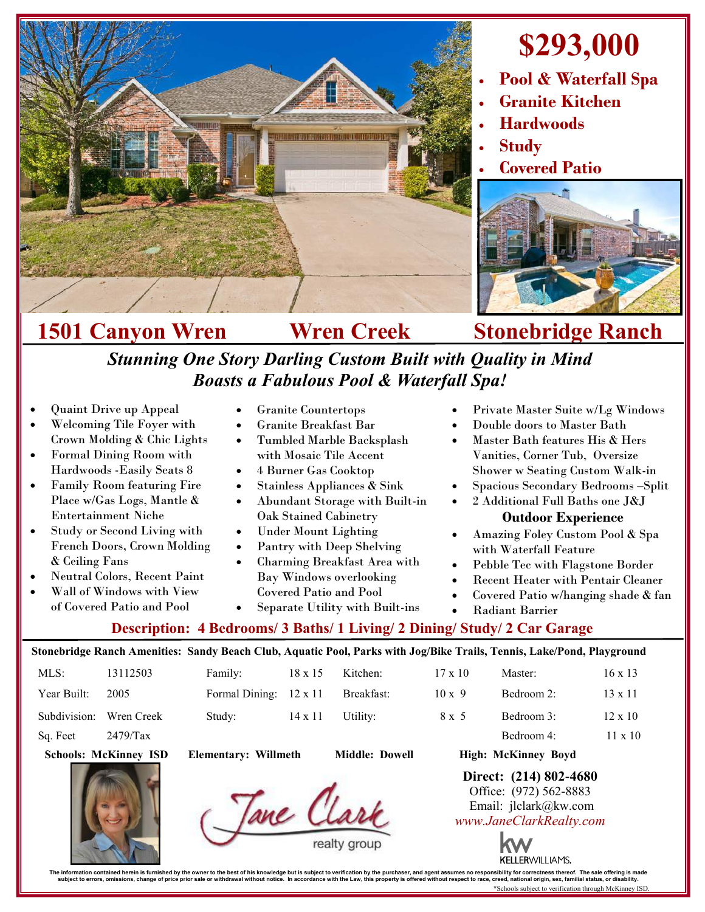

# **\$293,000**

- **Pool & Waterfall Spa**
- **Granite Kitchen**
- **Hardwoods**
- **Study**
- **Covered Patio**



# **1501 Canyon Wren Wren Creek Stonebridge Ranch**

*Stunning One Story Darling Custom Built with Quality in Mind Boasts a Fabulous Pool & Waterfall Spa!*

- Quaint Drive up Appeal
- Welcoming Tile Foyer with Crown Molding & Chic Lights
- Formal Dining Room with Hardwoods -Easily Seats 8
- Family Room featuring Fire Place w/Gas Logs, Mantle & Entertainment Niche
- Study or Second Living with French Doors, Crown Molding & Ceiling Fans
- Neutral Colors, Recent Paint
- Wall of Windows with View of Covered Patio and Pool
- Granite Countertops
- Granite Breakfast Bar
- Tumbled Marble Backsplash with Mosaic Tile Accent
- 4 Burner Gas Cooktop
- Stainless Appliances & Sink
- Abundant Storage with Built-in Oak Stained Cabinetry
- Under Mount Lighting
- Pantry with Deep Shelving
- Charming Breakfast Area with Bay Windows overlooking Covered Patio and Pool
- Private Master Suite w/Lg Windows
- Double doors to Master Bath
- Master Bath features His & Hers Vanities, Corner Tub, Oversize Shower w Seating Custom Walk-in
- Spacious Secondary Bedrooms –Split
- 2 Additional Full Baths one J&J

#### **Outdoor Experience**

- Amazing Foley Custom Pool & Spa with Waterfall Feature
- Pebble Tec with Flagstone Border
- Recent Heater with Pentair Cleaner
- Covered Patio w/hanging shade & fan
- Radiant Barrier

## **Description: 4 Bedrooms/ 3 Baths/ 1 Living/ 2 Dining/ Study/ 2 Car Garage**  Separate Utility with Built-ins

### **Stonebridge Ranch Amenities: Sandy Beach Club, Aquatic Pool, Parks with Jog/Bike Trails, Tennis, Lake/Pond, Playground**MLS: 13112503 Family: 18 x 15 Kitchen: 17 x 10 Master: 16 x 13 Year Built: 2005 Formal Dining:  $12 \times 11$  Breakfast:  $10 \times 9$  Bedroom 2:  $13 \times 11$ Subdivision: Wren Creek Study: 14 x 11 Utility: 8 x 5 Bedroom 3: 12 x 10 Sq. Feet  $2479/Tax$  Bedroom 4: 11 x 10 **Schools: McKinney ISD Elementary: Willmeth Middle: Dowell High: McKinney Boyd Direct: (214) 802-4680** Office: (972) 562-8883 Tane Cla Email: jlclark@kw.com *www.JaneClarkRealty.com*



The information contained heren is furnished by the owner to the best of his knowledge but is usuplect to verification by the purchaser, and agent assumes no responsibility for corrections then incompted in accordance with \*Schools subject to verification through McKinney ISD.